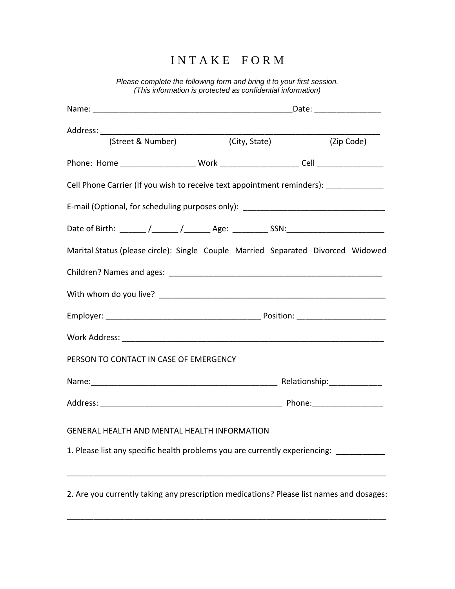## I N T A K E F O R M

*Please complete the following form and bring it to your first session. (This information is protected as confidential information)*

|                                                                                          |                                            | Date: ___________________ |  |  |
|------------------------------------------------------------------------------------------|--------------------------------------------|---------------------------|--|--|
|                                                                                          |                                            |                           |  |  |
|                                                                                          | (Street & Number) (City, State) (Zip Code) |                           |  |  |
|                                                                                          |                                            |                           |  |  |
| Cell Phone Carrier (If you wish to receive text appointment reminders): __________       |                                            |                           |  |  |
| E-mail (Optional, for scheduling purposes only): _______________________________         |                                            |                           |  |  |
| Date of Birth: ______ /______ /_______ Age: _________ SSN:______________________         |                                            |                           |  |  |
| Marital Status (please circle): Single Couple Married Separated Divorced Widowed         |                                            |                           |  |  |
|                                                                                          |                                            |                           |  |  |
|                                                                                          |                                            |                           |  |  |
|                                                                                          |                                            |                           |  |  |
|                                                                                          |                                            |                           |  |  |
| PERSON TO CONTACT IN CASE OF EMERGENCY                                                   |                                            |                           |  |  |
|                                                                                          |                                            |                           |  |  |
|                                                                                          |                                            |                           |  |  |
| GENERAL HEALTH AND MENTAL HEALTH INFORMATION                                             |                                            |                           |  |  |
| 1. Please list any specific health problems you are currently experiencing:              |                                            |                           |  |  |
|                                                                                          |                                            |                           |  |  |
| 2. Are you currently taking any prescription medications? Please list names and dosages: |                                            |                           |  |  |
|                                                                                          |                                            |                           |  |  |